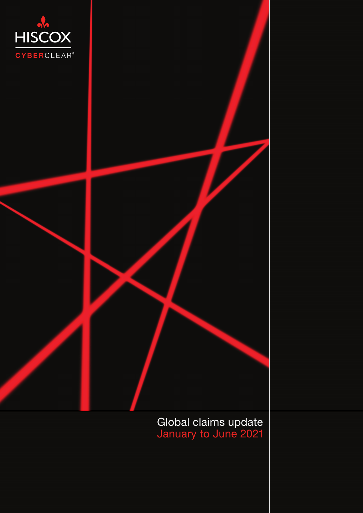

Global claims update January to June 2021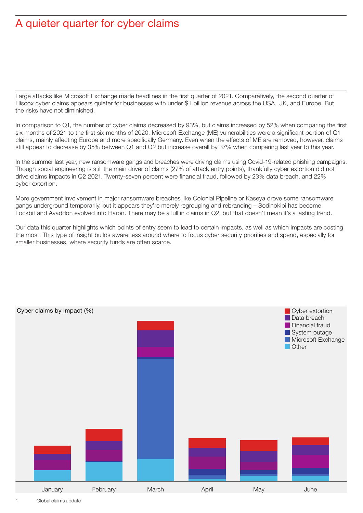## A quieter quarter for cyber claims

Large attacks like Microsoft Exchange made headlines in the first quarter of 2021. Comparatively, the second quarter of Hiscox cyber claims appears quieter for businesses with under \$1 billion revenue across the USA, UK, and Europe. But the risks have not diminished.

In comparison to Q1, the number of cyber claims decreased by 93%, but claims increased by 52% when comparing the first six months of 2021 to the first six months of 2020. Microsoft Exchange (ME) vulnerabilities were a significant portion of Q1 claims, mainly affecting Europe and more specifically Germany. Even when the effects of ME are removed, however, claims still appear to decrease by 35% between Q1 and Q2 but increase overall by 37% when comparing last year to this year.

In the summer last year, new ransomware gangs and breaches were driving claims using Covid-19-related phishing campaigns. Though social engineering is still the main driver of claims (27% of attack entry points), thankfully cyber extortion did not drive claims impacts in Q2 2021. Twenty-seven percent were financial fraud, followed by 23% data breach, and 22% cyber extortion.

More government involvement in major ransomware breaches like Colonial Pipeline or Kaseya drove some ransomware gangs underground temporarily, but it appears they're merely regrouping and rebranding – Sodinokibi has become Lockbit and Avaddon evolved into Haron. There may be a lull in claims in Q2, but that doesn't mean it's a lasting trend.

Our data this quarter highlights which points of entry seem to lead to certain impacts, as well as which impacts are costing the most. This type of insight builds awareness around where to focus cyber security priorities and spend, especially for smaller businesses, where security funds are often scarce.

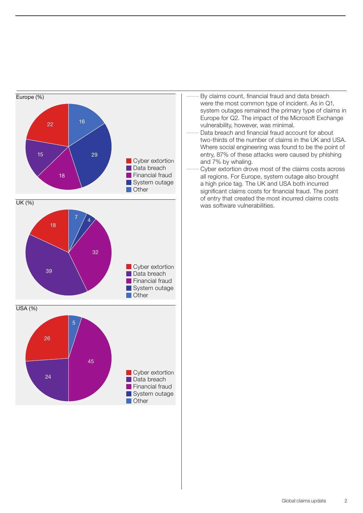

- By claims count, financial fraud and data breach were the most common type of incident. As in Q1, system outages remained the primary type of claims in Europe for Q2. The impact of the Microsoft Exchange vulnerability, however, was minimal.
- Data breach and financial fraud account for about two-thirds of the number of claims in the UK and USA. Where social engineering was found to be the point of entry, 87% of these attacks were caused by phishing and 7% by whaling.
- Cyber extortion drove most of the claims costs across all regions. For Europe, system outage also brought a high price tag. The UK and USA both incurred significant claims costs for financial fraud. The point of entry that created the most incurred claims costs was software vulnerabilities.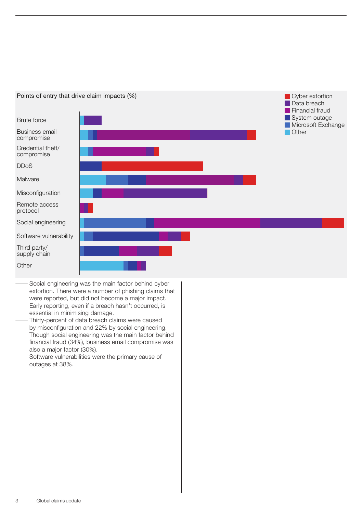

Social engineering was the main factor behind cyber extortion. There were a number of phishing claims that were reported, but did not become a major impact. Early reporting, even if a breach hasn't occurred, is essential in minimising damage.

Thirty-percent of data breach claims were caused by misconfiguration and 22% by social engineering.

- Though social engineering was the main factor behind financial fraud (34%), business email compromise was also a major factor (30%).
- Software vulnerabilities were the primary cause of outages at 38%.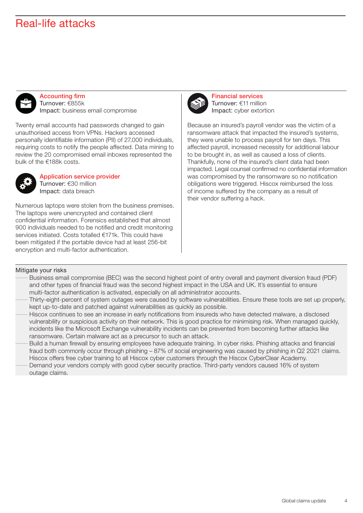### Real-life attacks



Accounting firm Turnover: €855k Impact: business email compromise

Twenty email accounts had passwords changed to gain unauthorised access from VPNs. Hackers accessed personally identifiable information (PII) of 27,000 individuals, requiring costs to notify the people affected. Data mining to review the 20 compromised email inboxes represented the bulk of the €188k costs.



Application service provider Turnover: €30 million Impact: data breach

Numerous laptops were stolen from the business premises. The laptops were unencrypted and contained client confidential information. Forensics established that almost 900 individuals needed to be notified and credit monitoring services initiated. Costs totalled €171k. This could have been mitigated if the portable device had at least 256-bit encryption and multi-factor authentication.



Financial services Turnover: €11 million Impact: cyber extortion

Because an insured's payroll vendor was the victim of a ransomware attack that impacted the insured's systems, they were unable to process payroll for ten days. This affected payroll, increased necessity for additional labour to be brought in, as well as caused a loss of clients. Thankfully, none of the insured's client data had been impacted. Legal counsel confirmed no confidential information was compromised by the ransomware so no notification obligations were triggered. Hiscox reimbursed the loss of income suffered by the company as a result of their vendor suffering a hack.

#### Mitigate your risks

- Business email compromise (BEC) was the second highest point of entry overall and payment diversion fraud (PDF) and other types of financial fraud was the second highest impact in the USA and UK. It's essential to ensure multi-factor authentication is activated, especially on all administrator accounts.
- DThirty-eight-percent of system outages were caused by software vulnerabilities. Ensure these tools are set up properly, kept up-to-date and patched against vulnerabilities as quickly as possible.
- Hiscox continues to see an increase in early notifications from insureds who have detected malware, a disclosed vulnerability or suspicious activity on their network. This is good practice for minimising risk. When managed quickly, incidents like the Microsoft Exchange vulnerability incidents can be prevented from becoming further attacks like ransomware. Certain malware act as a precursor to such an attack.
- Build a human firewall by ensuring employees have adequate training. In cyber risks. Phishing attacks and financial fraud both commonly occur through phishing – 87% of social engineering was caused by phishing in Q2 2021 claims. Hiscox offers free cyber training to all Hiscox cyber customers through the Hiscox CyberClear Academy.
- Demand your vendors comply with good cyber security practice. Third-party vendors caused 16% of system outage claims.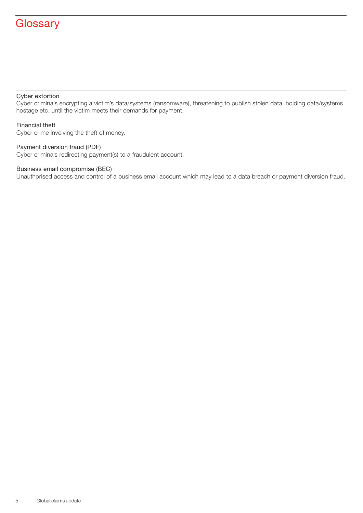# **Glossary**

#### Cyber extortion

Cyber criminals encrypting a victim's data/systems (ransomware), threatening to publish stolen data, holding data/systems hostage etc. until the victim meets their demands for payment.

#### Financial theft

Cyber crime involving the theft of money.

### Payment diversion fraud (PDF)

Cyber criminals redirecting payment(s) to a fraudulent account.

### Business email compromise (BEC)

Unauthorised access and control of a business email account which may lead to a data breach or payment diversion fraud.